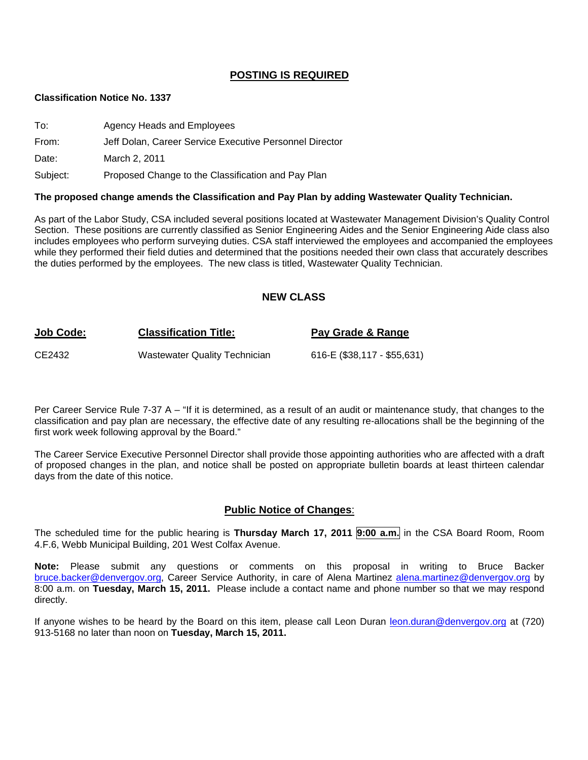#### **POSTING IS REQUIRED**

#### **Classification Notice No. 1337**

| To:      | Agency Heads and Employees                              |
|----------|---------------------------------------------------------|
| From:    | Jeff Dolan, Career Service Executive Personnel Director |
| Date:    | March 2, 2011                                           |
| Subject: | Proposed Change to the Classification and Pay Plan      |

#### **The proposed change amends the Classification and Pay Plan by adding Wastewater Quality Technician.**

As part of the Labor Study, CSA included several positions located at Wastewater Management Division's Quality Control Section. These positions are currently classified as Senior Engineering Aides and the Senior Engineering Aide class also includes employees who perform surveying duties. CSA staff interviewed the employees and accompanied the employees while they performed their field duties and determined that the positions needed their own class that accurately describes the duties performed by the employees. The new class is titled, Wastewater Quality Technician.

#### **NEW CLASS**

# **Job Code: Classification Title: Pay Grade & Range** CE2432 Wastewater Quality Technician 616-E (\$38,117 - \$55,631)

Per Career Service Rule 7-37 A – "If it is determined, as a result of an audit or maintenance study, that changes to the classification and pay plan are necessary, the effective date of any resulting re-allocations shall be the beginning of the first work week following approval by the Board."

The Career Service Executive Personnel Director shall provide those appointing authorities who are affected with a draft of proposed changes in the plan, and notice shall be posted on appropriate bulletin boards at least thirteen calendar days from the date of this notice.

#### **Public Notice of Changes**:

The scheduled time for the public hearing is **Thursday March 17, 2011 9:00 a.m.** in the CSA Board Room, Room 4.F.6, Webb Municipal Building, 201 West Colfax Avenue.

**Note:** Please submit any questions or comments on this proposal in writing to Bruce Backer [bruce.backer@denvergov.org,](mailto:bruce.backer@denvergov.org) Career Service Authority, in care of Alena Martinez [alena.martinez@denvergov.org](mailto:alena.martinez@denvergov.org) by 8:00 a.m. on **Tuesday, March 15, 2011.** Please include a contact name and phone number so that we may respond directly.

If anyone wishes to be heard by the Board on this item, please call Leon Duran [leon.duran@denvergov.org](mailto:leon.duran@denvergov.org) at (720) 913-5168 no later than noon on **Tuesday, March 15, 2011.**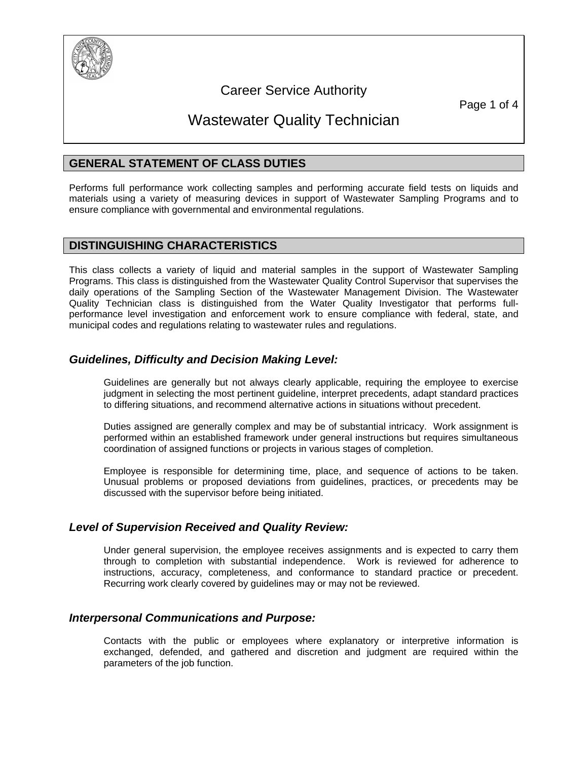

## Career Service Authority

Page 1 of 4

## Wastewater Quality Technician

## **GENERAL STATEMENT OF CLASS DUTIES**

Performs full performance work collecting samples and performing accurate field tests on liquids and materials using a variety of measuring devices in support of Wastewater Sampling Programs and to ensure compliance with governmental and environmental regulations.

#### **DISTINGUISHING CHARACTERISTICS**

This class collects a variety of liquid and material samples in the support of Wastewater Sampling Programs. This class is distinguished from the Wastewater Quality Control Supervisor that supervises the daily operations of the Sampling Section of the Wastewater Management Division. The Wastewater Quality Technician class is distinguished from the Water Quality Investigator that performs fullperformance level investigation and enforcement work to ensure compliance with federal, state, and municipal codes and regulations relating to wastewater rules and regulations.

## *Guidelines, Difficulty and Decision Making Level:*

Guidelines are generally but not always clearly applicable, requiring the employee to exercise judgment in selecting the most pertinent guideline, interpret precedents, adapt standard practices to differing situations, and recommend alternative actions in situations without precedent.

Duties assigned are generally complex and may be of substantial intricacy. Work assignment is performed within an established framework under general instructions but requires simultaneous coordination of assigned functions or projects in various stages of completion.

Employee is responsible for determining time, place, and sequence of actions to be taken. Unusual problems or proposed deviations from guidelines, practices, or precedents may be discussed with the supervisor before being initiated.

### *Level of Supervision Received and Quality Review:*

Under general supervision, the employee receives assignments and is expected to carry them through to completion with substantial independence. Work is reviewed for adherence to instructions, accuracy, completeness, and conformance to standard practice or precedent. Recurring work clearly covered by guidelines may or may not be reviewed.

### *Interpersonal Communications and Purpose:*

Contacts with the public or employees where explanatory or interpretive information is exchanged, defended, and gathered and discretion and judgment are required within the parameters of the job function.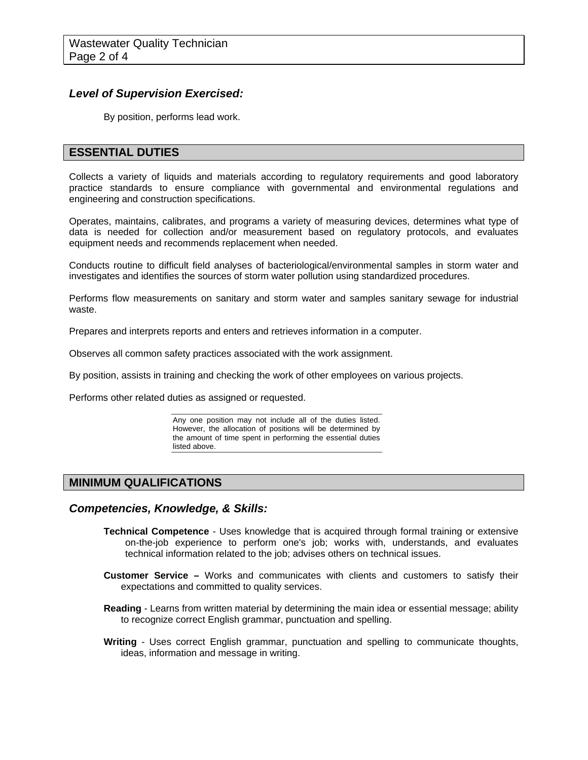### *Level of Supervision Exercised:*

By position, performs lead work.

## **ESSENTIAL DUTIES**

Collects a variety of liquids and materials according to regulatory requirements and good laboratory practice standards to ensure compliance with governmental and environmental regulations and engineering and construction specifications.

Operates, maintains, calibrates, and programs a variety of measuring devices, determines what type of data is needed for collection and/or measurement based on regulatory protocols, and evaluates equipment needs and recommends replacement when needed.

Conducts routine to difficult field analyses of bacteriological/environmental samples in storm water and investigates and identifies the sources of storm water pollution using standardized procedures.

Performs flow measurements on sanitary and storm water and samples sanitary sewage for industrial waste.

Prepares and interprets reports and enters and retrieves information in a computer.

Observes all common safety practices associated with the work assignment.

By position, assists in training and checking the work of other employees on various projects.

Performs other related duties as assigned or requested.

Any one position may not include all of the duties listed. However, the allocation of positions will be determined by the amount of time spent in performing the essential duties listed above.

### **MINIMUM QUALIFICATIONS**

#### *Competencies, Knowledge, & Skills:*

- **Technical Competence** Uses knowledge that is acquired through formal training or extensive on-the-job experience to perform one's job; works with, understands, and evaluates technical information related to the job; advises others on technical issues.
- **Customer Service –** Works and communicates with clients and customers to satisfy their expectations and committed to quality services.
- **Reading** Learns from written material by determining the main idea or essential message; ability to recognize correct English grammar, punctuation and spelling.
- **Writing** Uses correct English grammar, punctuation and spelling to communicate thoughts, ideas, information and message in writing.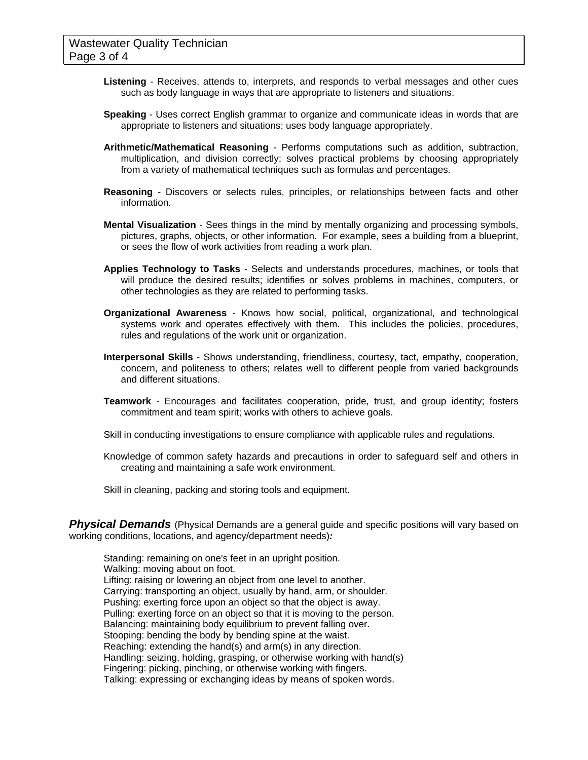- **Listening** Receives, attends to, interprets, and responds to verbal messages and other cues such as body language in ways that are appropriate to listeners and situations.
- **Speaking** Uses correct English grammar to organize and communicate ideas in words that are appropriate to listeners and situations; uses body language appropriately.
- **Arithmetic/Mathematical Reasoning** Performs computations such as addition, subtraction, multiplication, and division correctly; solves practical problems by choosing appropriately from a variety of mathematical techniques such as formulas and percentages.
- **Reasoning** Discovers or selects rules, principles, or relationships between facts and other information.
- **Mental Visualization** Sees things in the mind by mentally organizing and processing symbols, pictures, graphs, objects, or other information. For example, sees a building from a blueprint, or sees the flow of work activities from reading a work plan.
- **Applies Technology to Tasks** Selects and understands procedures, machines, or tools that will produce the desired results; identifies or solves problems in machines, computers, or other technologies as they are related to performing tasks.
- **Organizational Awareness** Knows how social, political, organizational, and technological systems work and operates effectively with them. This includes the policies, procedures, rules and regulations of the work unit or organization.
- **Interpersonal Skills** Shows understanding, friendliness, courtesy, tact, empathy, cooperation, concern, and politeness to others; relates well to different people from varied backgrounds and different situations.
- **Teamwork** Encourages and facilitates cooperation, pride, trust, and group identity; fosters commitment and team spirit; works with others to achieve goals.
- Skill in conducting investigations to ensure compliance with applicable rules and regulations.
- Knowledge of common safety hazards and precautions in order to safeguard self and others in creating and maintaining a safe work environment.
- Skill in cleaning, packing and storing tools and equipment.

**Physical Demands** (Physical Demands are a general guide and specific positions will vary based on working conditions, locations, and agency/department needs)*:* 

Standing: remaining on one's feet in an upright position. Walking: moving about on foot. Lifting: raising or lowering an object from one level to another. Carrying: transporting an object, usually by hand, arm, or shoulder. Pushing: exerting force upon an object so that the object is away. Pulling: exerting force on an object so that it is moving to the person. Balancing: maintaining body equilibrium to prevent falling over. Stooping: bending the body by bending spine at the waist. Reaching: extending the hand(s) and arm(s) in any direction. Handling: seizing, holding, grasping, or otherwise working with hand(s) Fingering: picking, pinching, or otherwise working with fingers. Talking: expressing or exchanging ideas by means of spoken words.